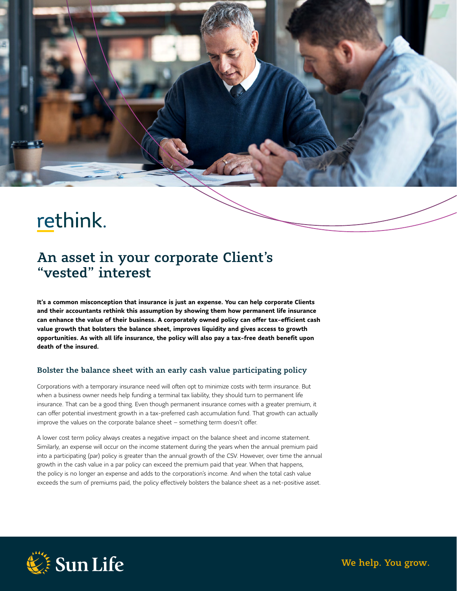# rethink.

# An asset in your corporate Client's "vested" interest

**It's a common misconception that insurance is just an expense. You can help corporate Clients and their accountants rethink this assumption by showing them how permanent life insurance can enhance the value of their business. A corporately owned policy can offer tax-efficient cash value growth that bolsters the balance sheet, improves liquidity and gives access to growth opportunities. As with all life insurance, the policy will also pay a tax-free death benefit upon death of the insured.** 

### Bolster the balance sheet with an early cash value participating policy

Corporations with a temporary insurance need will often opt to minimize costs with term insurance. But when a business owner needs help funding a terminal tax liability, they should turn to permanent life insurance. That can be a good thing. Even though permanent insurance comes with a greater premium, it can offer potential investment growth in a tax-preferred cash accumulation fund. That growth can actually improve the values on the corporate balance sheet – something term doesn't offer.

A lower cost term policy always creates a negative impact on the balance sheet and income statement. Similarly, an expense will occur on the income statement during the years when the annual premium paid into a participating (par) policy is greater than the annual growth of the CSV. However, over time the annual growth in the cash value in a par policy can exceed the premium paid that year. When that happens, the policy is no longer an expense and adds to the corporation's income. And when the total cash value exceeds the sum of premiums paid, the policy effectively bolsters the balance sheet as a net-positive asset.



We help. You grow.